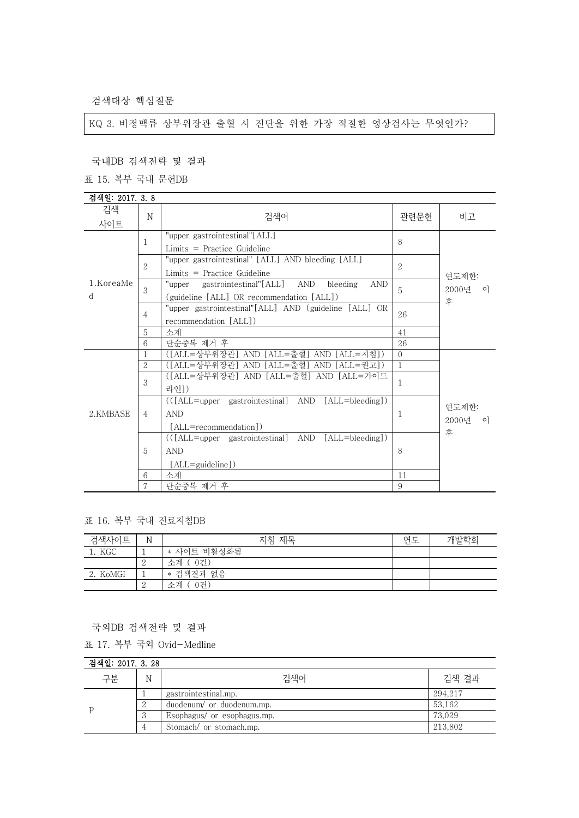검색대상 핵심질문

KQ 3. 비정맥류 상부위장관 출혈 시 진단을 위한 가장 적절한 영상검사는 무엇인가?

#### 국내DB 검색전략 및 결과

표 15. 복부 국내 문헌DB

| 검색일: 2017. 3.8 |                |                                                                                                             |                |                  |
|----------------|----------------|-------------------------------------------------------------------------------------------------------------|----------------|------------------|
| 검색<br>사이트      | N              | 검색어                                                                                                         | 관련문헌           | 비고               |
| 1.KoreaMe<br>d | 1              | "upper gastrointestinal"[ALL]<br>$Limits = Practice$ Guideline                                              | 8              |                  |
|                | $\overline{2}$ | "upper gastrointestinal" [ALL] AND bleeding [ALL]<br>$Limits = Practice Guide$                              | $\overline{2}$ | 연도제한:            |
|                | 3              | gastrointestinal"[ALL] AND<br>bleeding<br><b>AND</b><br>"upper<br>(guideline [ALL] OR recommendation [ALL]) | 5              | 2000년 이<br>후     |
|                | $\overline{4}$ | "upper gastrointestinal"[ALL] AND (guideline [ALL] OR<br>recommendation [ALL])                              | 26             |                  |
|                | 5              | 소계                                                                                                          | 41             |                  |
|                | 6              | 단순중복 제거 후                                                                                                   | 26             |                  |
|                | 1              | ([ALL=상부위장관] AND [ALL=출혈] AND [ALL=지침])                                                                     | $\Omega$       | 연도제한:<br>2000년 이 |
|                | $\overline{2}$ | ([ALL=상부위장관] AND [ALL=출혈] AND [ALL=권고])                                                                     | $\mathbf{1}$   |                  |
|                | 3              | ([ALL=상부위장관] AND [ALL=출혈] AND [ALL=가이드<br>라인])                                                              | 1              |                  |
| 2.KMBASE       | $\overline{4}$ | (([ALL=upper gastrointestinal] AND [ALL=bleeding])<br><b>AND</b><br>[ALL=recommendation])                   | 1              |                  |
|                | 5              | (([ALL=upper gastrointestinal] AND [ALL=bleeding])<br><b>AND</b><br>[ALL=guideline])                        | 8              | 후                |
|                | 6              | 소계                                                                                                          | 11             |                  |
|                | 7              | 단순중복 제거 후                                                                                                   | 9              |                  |

## 표 16. 복부 국내 진료지침DB

| 검색사이트    | N | 지침 제목         | 연도 | 개발학회 |
|----------|---|---------------|----|------|
| 1. KGC   |   | * 사이트 비활성화됨   |    |      |
|          | ↵ | - 0건)<br>소계 ( |    |      |
| 2. KoMGI |   | * 검색결과 없음     |    |      |
|          | ∼ | 0건)<br>소계     |    |      |

#### 국외DB 검색전략 및 결과

표 17. 복부 국외 Ovid-Medline

| 검색일: 2017, 3, 28 |   |                             |         |  |
|------------------|---|-----------------------------|---------|--|
| 구분               | N | 검색어                         | 검색 결과   |  |
|                  |   | gastrointestinal.mp.        | 294.217 |  |
|                  |   | duodenum/ or duodenum.mp.   | 53.162  |  |
|                  |   | Esophagus/ or esophagus.mp. | 73.029  |  |
|                  |   | Stomach/ or stomach.mp.     | 213.802 |  |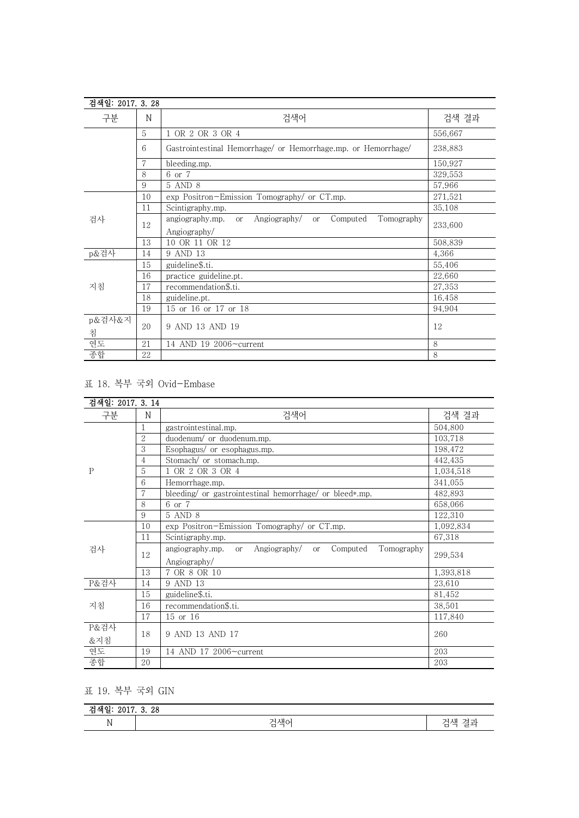| 검색일: 2017. 3. 28 |    |                                                                                             |         |
|------------------|----|---------------------------------------------------------------------------------------------|---------|
| 구분               | N  | 검색어                                                                                         | 검색 결과   |
|                  | 5  | OR 2 OR 3 OR 4                                                                              | 556,667 |
|                  | 6  | Gastrointestinal Hemorrhage/ or Hemorrhage.mp. or Hemorrhage/                               | 238,883 |
|                  | 7  | bleeding.mp.                                                                                | 150,927 |
|                  | 8  | 6 or 7                                                                                      | 329.553 |
|                  | 9  | 5 AND 8                                                                                     | 57,966  |
|                  | 10 | exp Positron-Emission Tomography/ or CT.mp.                                                 | 271,521 |
|                  | 11 | Scintigraphy.mp.                                                                            | 35,108  |
| 검사               | 12 | Angiography/<br>angiography.mp.<br>Computed<br>Tomography<br><sub>or</sub><br><sub>or</sub> | 233,600 |
|                  |    | Angiography/                                                                                |         |
|                  | 13 | 10 OR 11 OR 12                                                                              | 508,839 |
| p&검사             | 14 | 9 AND 13                                                                                    | 4,366   |
|                  | 15 | guideline\$.ti.                                                                             | 55,406  |
|                  | 16 | practice guideline.pt.                                                                      | 22,660  |
| 지침               | 17 | recommendation\$.ti.                                                                        | 27,353  |
|                  | 18 | guideline.pt.                                                                               | 16,458  |
|                  | 19 | 15 or 16 or 17 or 18                                                                        | 94,904  |
| p&검사&지<br>침      | 20 | 9 AND 13 AND 19                                                                             | 12      |
| 연도               | 21 | 14 AND 19 2006~current                                                                      | 8       |
| 종합               | 22 |                                                                                             | 8       |

# 표 18. 복부 국외 Ovid-Embase

| 검색일: 2017. 3. 14 |                |                                                                                             |           |
|------------------|----------------|---------------------------------------------------------------------------------------------|-----------|
| 구분               | N              | 검색어                                                                                         | 검색 결과     |
|                  | 1              | gastrointestinal.mp.                                                                        | 504,800   |
|                  | $\overline{2}$ | duodenum/ or duodenum.mp.                                                                   | 103,718   |
|                  | 3              | Esophagus/ or esophagus.mp.                                                                 | 198,472   |
|                  | 4              | Stomach/ or stomach.mp.                                                                     | 442,435   |
| P                | 5              | 1 OR 2 OR 3 OR 4                                                                            | 1,034,518 |
|                  | 6              | Hemorrhage.mp.                                                                              | 341,055   |
|                  | 7              | bleeding/ or gastrointestinal hemorrhage/ or bleed*.mp.                                     | 482,893   |
|                  | 8              | 6 or 7                                                                                      | 658,066   |
|                  | 9              | 5 AND 8                                                                                     | 122,310   |
|                  | 10             | exp Positron-Emission Tomography/ or CT.mp.                                                 | 1,092,834 |
|                  | 11             | Scintigraphy.mp.                                                                            | 67,318    |
| 검사               | 12             | Angiography/<br>Computed<br>Tomography<br>angiography.mp.<br><sub>or</sub><br><sub>or</sub> | 299,534   |
|                  |                | Angiography/                                                                                |           |
|                  | 13             | 7 OR 8 OR 10                                                                                | 1,393,818 |
| P&검사             | 14             | 9 AND 13                                                                                    | 23,610    |
|                  | 15             | guideline\$.ti.                                                                             | 81,452    |
| 지침               | 16             | recommendation\$.ti.                                                                        | 38,501    |
|                  | 17             | 15 or 16                                                                                    | 117,840   |
| P&검사             |                |                                                                                             |           |
| &지침              | 18             | 9 AND 13 AND 17                                                                             | 260       |
| 연도               | 19             | 14 AND 17 2006~current                                                                      | 203       |
| 종합               | 20             |                                                                                             | 203       |

## 표 19. 복부 국외 GIN

| ≂ | 3.28     |                                                                                      |
|---|----------|--------------------------------------------------------------------------------------|
| N | 그샌이<br>− | $\sim$ $\sim$<br>∼<br>.<br>$\overline{\phantom{a}}$<br>$\overline{\phantom{0}}$<br>– |